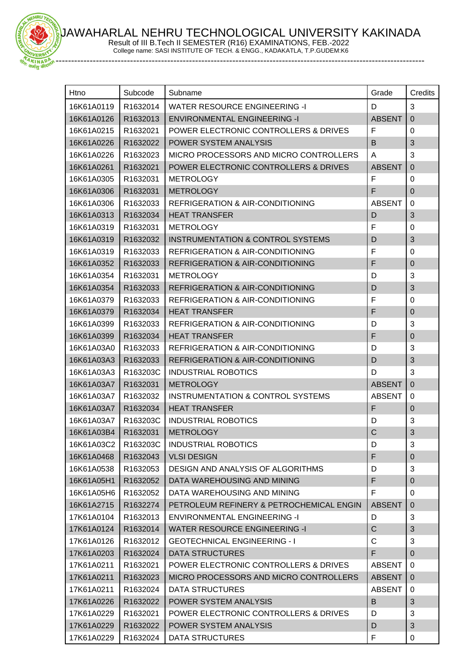AWAHARLAL NEHRU TECHNOLOGICAL UNIVERSITY KAKINADA

Result of III B.Tech II SEMESTER (R16) EXAMINATIONS, FEB.-2022 College name: SASI INSTITUTE OF TECH. & ENGG., KADAKATLA, T.P.GUDEM:K6

**EHRU** 

-----------------------------------------------------------------------------------------------------------------------

| Htno       | Subcode  | Subname                                      | Grade         | Credits        |
|------------|----------|----------------------------------------------|---------------|----------------|
| 16K61A0119 | R1632014 | <b>WATER RESOURCE ENGINEERING -I</b>         | D             | 3              |
| 16K61A0126 | R1632013 | <b>ENVIRONMENTAL ENGINEERING -I</b>          | <b>ABSENT</b> | $\mathbf 0$    |
| 16K61A0215 | R1632021 | POWER ELECTRONIC CONTROLLERS & DRIVES        | F             | 0              |
| 16K61A0226 | R1632022 | POWER SYSTEM ANALYSIS                        | B             | 3              |
| 16K61A0226 | R1632023 | MICRO PROCESSORS AND MICRO CONTROLLERS       | Α             | 3              |
| 16K61A0261 | R1632021 | POWER ELECTRONIC CONTROLLERS & DRIVES        | <b>ABSENT</b> | $\mathbf 0$    |
| 16K61A0305 | R1632031 | <b>METROLOGY</b>                             | F             | 0              |
| 16K61A0306 | R1632031 | <b>METROLOGY</b>                             | F             | $\mathbf 0$    |
| 16K61A0306 | R1632033 | REFRIGERATION & AIR-CONDITIONING             | <b>ABSENT</b> | 0              |
| 16K61A0313 | R1632034 | <b>HEAT TRANSFER</b>                         | D             | 3              |
| 16K61A0319 | R1632031 | <b>METROLOGY</b>                             | F             | 0              |
| 16K61A0319 | R1632032 | <b>INSTRUMENTATION &amp; CONTROL SYSTEMS</b> | D             | 3              |
| 16K61A0319 | R1632033 | <b>REFRIGERATION &amp; AIR-CONDITIONING</b>  | F             | 0              |
| 16K61A0352 | R1632033 | REFRIGERATION & AIR-CONDITIONING             | F             | $\mathbf 0$    |
| 16K61A0354 | R1632031 | <b>METROLOGY</b>                             | D             | 3              |
| 16K61A0354 | R1632033 | <b>REFRIGERATION &amp; AIR-CONDITIONING</b>  | D             | 3              |
| 16K61A0379 | R1632033 | <b>REFRIGERATION &amp; AIR-CONDITIONING</b>  | F             | 0              |
| 16K61A0379 | R1632034 | <b>HEAT TRANSFER</b>                         | F             | $\mathbf 0$    |
| 16K61A0399 | R1632033 | REFRIGERATION & AIR-CONDITIONING             | D             | 3              |
| 16K61A0399 | R1632034 | <b>HEAT TRANSFER</b>                         | F             | $\mathbf 0$    |
| 16K61A03A0 | R1632033 | REFRIGERATION & AIR-CONDITIONING             | D             | 3              |
| 16K61A03A3 | R1632033 | <b>REFRIGERATION &amp; AIR-CONDITIONING</b>  | D             | 3              |
| 16K61A03A3 | R163203C | <b>INDUSTRIAL ROBOTICS</b>                   | D             | 3              |
| 16K61A03A7 | R1632031 | <b>METROLOGY</b>                             | <b>ABSENT</b> | $\mathbf 0$    |
| 16K61A03A7 | R1632032 | INSTRUMENTATION & CONTROL SYSTEMS            | <b>ABSENT</b> | 0              |
| 16K61A03A7 | R1632034 | <b>HEAT TRANSFER</b>                         | F             | $\mathbf 0$    |
| 16K61A03A7 | R163203C | <b>INDUSTRIAL ROBOTICS</b>                   | D             | 3              |
| 16K61A03B4 | R1632031 | METROLOGY                                    | $\mathsf{C}$  | 3              |
| 16K61A03C2 | R163203C | <b>INDUSTRIAL ROBOTICS</b>                   | D             | 3              |
| 16K61A0468 | R1632043 | <b>VLSI DESIGN</b>                           | F             | $\pmb{0}$      |
| 16K61A0538 | R1632053 | DESIGN AND ANALYSIS OF ALGORITHMS            | D             | 3              |
| 16K61A05H1 | R1632052 | DATA WAREHOUSING AND MINING                  | F             | 0              |
| 16K61A05H6 | R1632052 | DATA WAREHOUSING AND MINING                  | F             | 0              |
| 16K61A2715 | R1632274 | PETROLEUM REFINERY & PETROCHEMICAL ENGIN     | <b>ABSENT</b> | $\mathbf{0}$   |
| 17K61A0104 | R1632013 | <b>ENVIRONMENTAL ENGINEERING -I</b>          | D             | 3              |
| 17K61A0124 | R1632014 | <b>WATER RESOURCE ENGINEERING -I</b>         | C             | 3              |
| 17K61A0126 | R1632012 | <b>GEOTECHNICAL ENGINEERING - I</b>          | C             | 3              |
| 17K61A0203 | R1632024 | <b>DATA STRUCTURES</b>                       | F             | $\mathbf 0$    |
| 17K61A0211 | R1632021 | POWER ELECTRONIC CONTROLLERS & DRIVES        | <b>ABSENT</b> | 0              |
| 17K61A0211 | R1632023 | MICRO PROCESSORS AND MICRO CONTROLLERS       | <b>ABSENT</b> | $\overline{0}$ |
| 17K61A0211 | R1632024 | DATA STRUCTURES                              | <b>ABSENT</b> | 0              |
| 17K61A0226 | R1632022 | POWER SYSTEM ANALYSIS                        | B             | 3              |
| 17K61A0229 | R1632021 | POWER ELECTRONIC CONTROLLERS & DRIVES        | D             | 3              |
| 17K61A0229 | R1632022 | POWER SYSTEM ANALYSIS                        | D             | 3              |
| 17K61A0229 | R1632024 | DATA STRUCTURES                              | F             | 0              |